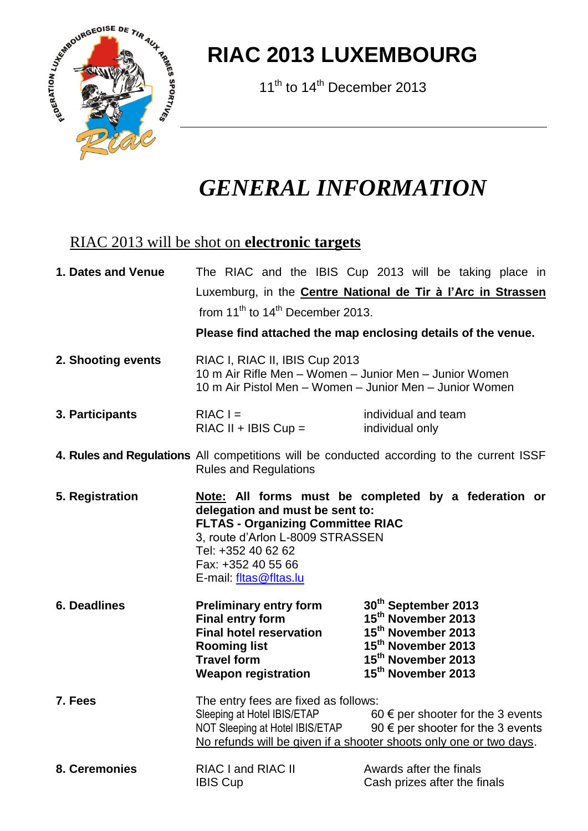

## **RIAC 2013 LUXEMBOURG**

11<sup>th</sup> to 14<sup>th</sup> December 2013

## *GENERAL INFORMATION*

## RIAC 2013 will be shot on **electronic targets**

| 1. Dates and Venue  | The RIAC and the IBIS Cup 2013 will be taking place in                                                                                                                                                                                                                   |  |  |  |  |                                                                                                                                                                                               |  |  |  |  |  |
|---------------------|--------------------------------------------------------------------------------------------------------------------------------------------------------------------------------------------------------------------------------------------------------------------------|--|--|--|--|-----------------------------------------------------------------------------------------------------------------------------------------------------------------------------------------------|--|--|--|--|--|
|                     | Luxemburg, in the <b>Centre National de Tir à l'Arc in Strassen</b>                                                                                                                                                                                                      |  |  |  |  |                                                                                                                                                                                               |  |  |  |  |  |
|                     | from $11th$ to $14th$ December 2013.                                                                                                                                                                                                                                     |  |  |  |  |                                                                                                                                                                                               |  |  |  |  |  |
|                     | Please find attached the map enclosing details of the venue.                                                                                                                                                                                                             |  |  |  |  |                                                                                                                                                                                               |  |  |  |  |  |
| 2. Shooting events  | RIAC I, RIAC II, IBIS Cup 2013<br>10 m Air Rifle Men - Women - Junior Men - Junior Women<br>10 m Air Pistol Men - Women - Junior Men - Junior Women                                                                                                                      |  |  |  |  |                                                                                                                                                                                               |  |  |  |  |  |
| 3. Participants     | $RIACI =$<br>$RIAC II + IBIS Cup =$                                                                                                                                                                                                                                      |  |  |  |  | individual and team<br>individual only                                                                                                                                                        |  |  |  |  |  |
|                     | 4. Rules and Regulations All competitions will be conducted according to the current ISSF<br><b>Rules and Regulations</b>                                                                                                                                                |  |  |  |  |                                                                                                                                                                                               |  |  |  |  |  |
| 5. Registration     | Note: All forms must be completed by a federation or<br>delegation and must be sent to:<br><b>FLTAS - Organizing Committee RIAC</b><br>3, route d'Arlon L-8009 STRASSEN<br>Tel: +352 40 62 62<br>Fax: +352 40 55 66<br>E-mail: fltas@fltas.lu                            |  |  |  |  |                                                                                                                                                                                               |  |  |  |  |  |
| <b>6. Deadlines</b> | <b>Preliminary entry form</b><br><b>Final entry form</b><br><b>Final hotel reservation</b><br><b>Rooming list</b><br><b>Travel form</b><br><b>Weapon registration</b>                                                                                                    |  |  |  |  | 30th September 2013<br>15 <sup>th</sup> November 2013<br>15 <sup>th</sup> November 2013<br>15 <sup>th</sup> November 2013<br>15 <sup>th</sup> November 2013<br>15 <sup>th</sup> November 2013 |  |  |  |  |  |
| 7. Fees             | The entry fees are fixed as follows:<br>Sleeping at Hotel IBIS/ETAP<br>60 $\epsilon$ per shooter for the 3 events<br>90 $\epsilon$ per shooter for the 3 events<br>NOT Sleeping at Hotel IBIS/ETAP<br>No refunds will be given if a shooter shoots only one or two days. |  |  |  |  |                                                                                                                                                                                               |  |  |  |  |  |
| 8. Ceremonies       | <b>RIAC I and RIAC II</b><br><b>IBIS Cup</b>                                                                                                                                                                                                                             |  |  |  |  | Awards after the finals<br>Cash prizes after the finals                                                                                                                                       |  |  |  |  |  |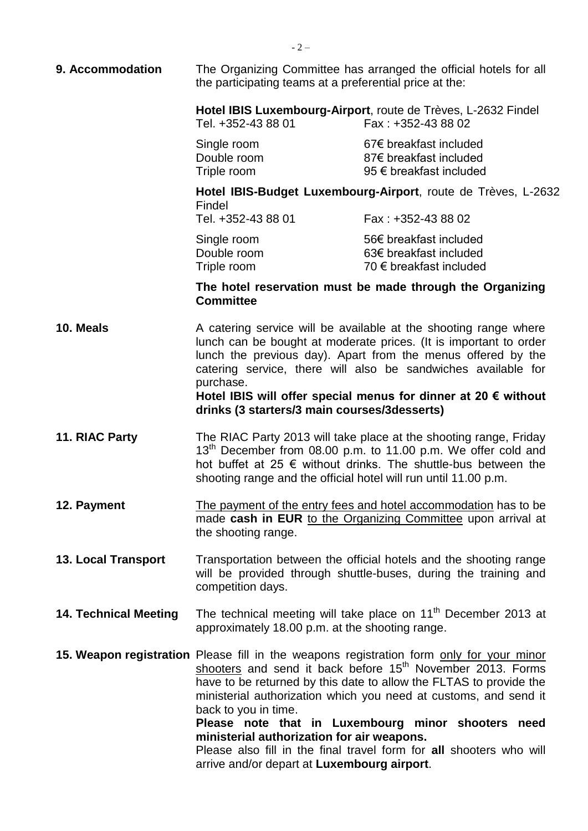**9. Accommodation** The Organizing Committee has arranged the official hotels for all the participating teams at a preferential price at the: **Hotel IBIS Luxembourg-Airport**, route de Trèves, L-2632 Findel Tel. +352-43 88 01 Fax : +352-43 88 02 Single room 67€ breakfast included Double room 87€ breakfast included Triple room 95 € breakfast included **Hotel IBIS-Budget Luxembourg-Airport**, route de Trèves, L-2632 Findel Tel. +352-43 88 01 Fax : +352-43 88 02 Single room 56€ breakfast included Double room 63€ breakfast included Triple room 70 € breakfast included **The hotel reservation must be made through the Organizing Committee 10. Meals** A catering service will be available at the shooting range where lunch can be bought at moderate prices. (It is important to order lunch the previous day). Apart from the menus offered by the catering service, there will also be sandwiches available for purchase. **Hotel IBIS will offer special menus for dinner at 20 € without drinks (3 starters/3 main courses/3desserts) 11. RIAC Party** The RIAC Party 2013 will take place at the shooting range, Friday 13<sup>th</sup> December from 08.00 p.m. to 11.00 p.m. We offer cold and hot buffet at 25  $\epsilon$  without drinks. The shuttle-bus between the shooting range and the official hotel will run until 11.00 p.m. **12. Payment** The payment of the entry fees and hotel accommodation has to be made **cash in EUR** to the Organizing Committee upon arrival at the shooting range. **13. Local Transport** Transportation between the official hotels and the shooting range will be provided through shuttle-buses, during the training and competition days. 14. Technical Meeting The technical meeting will take place on 11<sup>th</sup> December 2013 at approximately 18.00 p.m. at the shooting range. **15. Weapon registration** Please fill in the weapons registration form only for your minor shooters and send it back before 15<sup>th</sup> November 2013. Forms have to be returned by this date to allow the FLTAS to provide the ministerial authorization which you need at customs, and send it back to you in time. **Please note that in Luxembourg minor shooters need ministerial authorization for air weapons.** Please also fill in the final travel form for **all** shooters who will arrive and/or depart at **Luxembourg airport**.